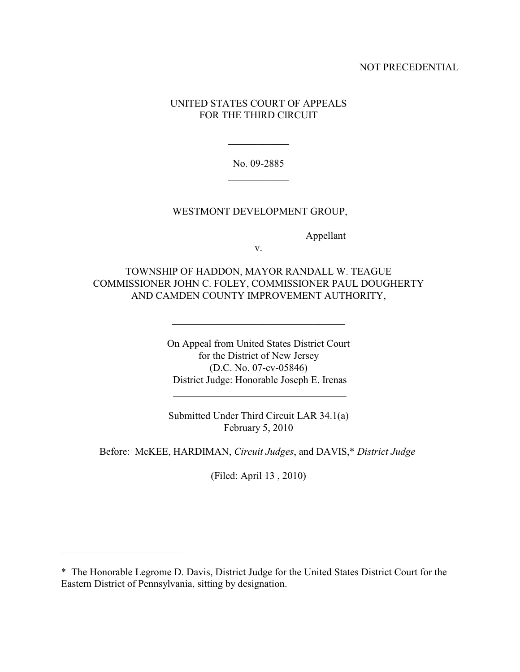### NOT PRECEDENTIAL

## UNITED STATES COURT OF APPEALS FOR THE THIRD CIRCUIT

No. 09-2885  $\frac{1}{2}$  ,  $\frac{1}{2}$  ,  $\frac{1}{2}$  ,  $\frac{1}{2}$  ,  $\frac{1}{2}$  ,  $\frac{1}{2}$ 

 $\frac{1}{2}$  ,  $\frac{1}{2}$  ,  $\frac{1}{2}$  ,  $\frac{1}{2}$  ,  $\frac{1}{2}$  ,  $\frac{1}{2}$ 

### WESTMONT DEVELOPMENT GROUP,

Appellant

v.

TOWNSHIP OF HADDON, MAYOR RANDALL W. TEAGUE COMMISSIONER JOHN C. FOLEY, COMMISSIONER PAUL DOUGHERTY AND CAMDEN COUNTY IMPROVEMENT AUTHORITY,

 $\overline{\phantom{a}}$  , and the set of the set of the set of the set of the set of the set of the set of the set of the set of the set of the set of the set of the set of the set of the set of the set of the set of the set of the s

On Appeal from United States District Court for the District of New Jersey (D.C. No. 07-cv-05846) District Judge: Honorable Joseph E. Irenas

 $\mathcal{L}_\mathcal{L}$  , which is a set of the set of the set of the set of the set of the set of the set of the set of the set of the set of the set of the set of the set of the set of the set of the set of the set of the set of

Submitted Under Third Circuit LAR 34.1(a) February 5, 2010

Before: McKEE, HARDIMAN, *Circuit Judges*, and DAVIS,\* *District Judge* 

(Filed: April 13 , 2010)

\_\_\_\_\_\_\_\_\_\_\_\_\_\_\_\_\_\_\_\_\_\_\_\_

<sup>\*</sup> The Honorable Legrome D. Davis, District Judge for the United States District Court for the Eastern District of Pennsylvania, sitting by designation.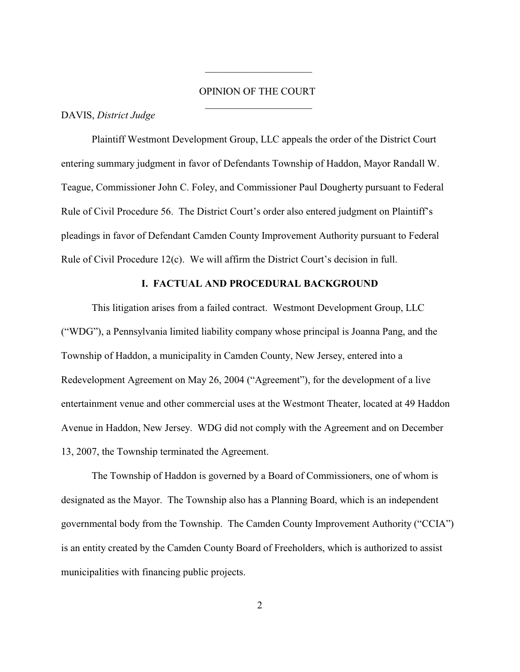# OPINION OF THE COURT  $\overline{\phantom{a}}$  , and the set of the set of the set of the set of the set of the set of the set of the set of the set of the set of the set of the set of the set of the set of the set of the set of the set of the set of the s

 $\overline{\phantom{a}}$  , and the set of the set of the set of the set of the set of the set of the set of the set of the set of the set of the set of the set of the set of the set of the set of the set of the set of the set of the s

#### DAVIS, *District Judge*

Plaintiff Westmont Development Group, LLC appeals the order of the District Court entering summary judgment in favor of Defendants Township of Haddon, Mayor Randall W. Teague, Commissioner John C. Foley, and Commissioner Paul Dougherty pursuant to Federal Rule of Civil Procedure 56. The District Court's order also entered judgment on Plaintiff's pleadings in favor of Defendant Camden County Improvement Authority pursuant to Federal Rule of Civil Procedure 12(c). We will affirm the District Court's decision in full.

#### **I. FACTUAL AND PROCEDURAL BACKGROUND**

This litigation arises from a failed contract. Westmont Development Group, LLC ("WDG"), a Pennsylvania limited liability company whose principal is Joanna Pang, and the Township of Haddon, a municipality in Camden County, New Jersey, entered into a Redevelopment Agreement on May 26, 2004 ("Agreement"), for the development of a live entertainment venue and other commercial uses at the Westmont Theater, located at 49 Haddon Avenue in Haddon, New Jersey. WDG did not comply with the Agreement and on December 13, 2007, the Township terminated the Agreement.

The Township of Haddon is governed by a Board of Commissioners, one of whom is designated as the Mayor. The Township also has a Planning Board, which is an independent governmental body from the Township. The Camden County Improvement Authority ("CCIA") is an entity created by the Camden County Board of Freeholders, which is authorized to assist municipalities with financing public projects.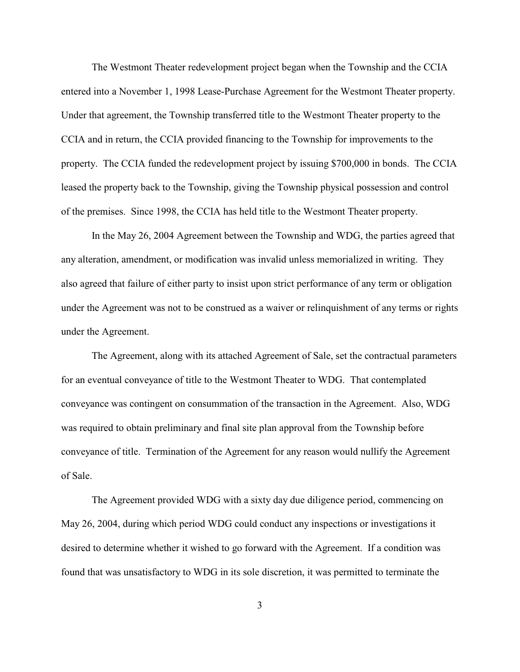The Westmont Theater redevelopment project began when the Township and the CCIA entered into a November 1, 1998 Lease-Purchase Agreement for the Westmont Theater property. Under that agreement, the Township transferred title to the Westmont Theater property to the CCIA and in return, the CCIA provided financing to the Township for improvements to the property. The CCIA funded the redevelopment project by issuing \$700,000 in bonds. The CCIA leased the property back to the Township, giving the Township physical possession and control of the premises. Since 1998, the CCIA has held title to the Westmont Theater property.

In the May 26, 2004 Agreement between the Township and WDG, the parties agreed that any alteration, amendment, or modification was invalid unless memorialized in writing. They also agreed that failure of either party to insist upon strict performance of any term or obligation under the Agreement was not to be construed as a waiver or relinquishment of any terms or rights under the Agreement.

The Agreement, along with its attached Agreement of Sale, set the contractual parameters for an eventual conveyance of title to the Westmont Theater to WDG. That contemplated conveyance was contingent on consummation of the transaction in the Agreement. Also, WDG was required to obtain preliminary and final site plan approval from the Township before conveyance of title. Termination of the Agreement for any reason would nullify the Agreement of Sale.

The Agreement provided WDG with a sixty day due diligence period, commencing on May 26, 2004, during which period WDG could conduct any inspections or investigations it desired to determine whether it wished to go forward with the Agreement. If a condition was found that was unsatisfactory to WDG in its sole discretion, it was permitted to terminate the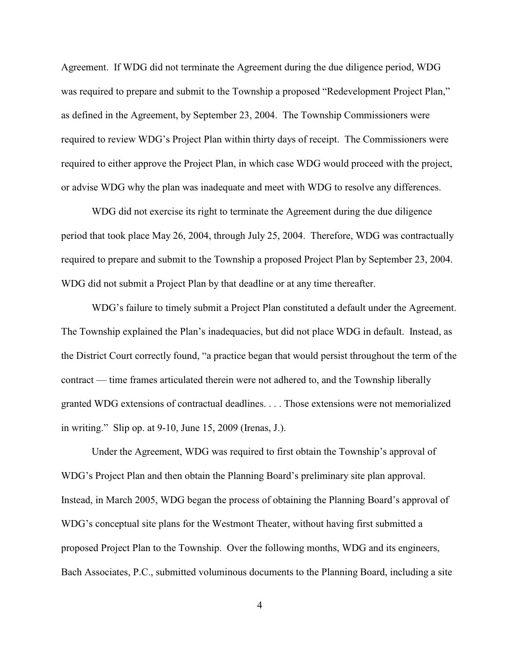Agreement. If WDG did not terminate the Agreement during the due diligence period, WDG was required to prepare and submit to the Township a proposed "Redevelopment Project Plan," as defined in the Agreement, by September 23, 2004. The Township Commissioners were required to review WDG's Project Plan within thirty days of receipt. The Commissioners were required to either approve the Project Plan, in which case WDG would proceed with the project, or advise WDG why the plan was inadequate and meet with WDG to resolve any differences.

WDG did not exercise its right to terminate the Agreement during the due diligence period that took place May 26, 2004, through July 25, 2004. Therefore, WDG was contractually required to prepare and submit to the Township a proposed Project Plan by September 23, 2004. WDG did not submit a Project Plan by that deadline or at any time thereafter.

WDG's failure to timely submit a Project Plan constituted a default under the Agreement. The Township explained the Plan's inadequacies, but did not place WDG in default. Instead, as the District Court correctly found, "a practice began that would persist throughout the term of the contract — time frames articulated therein were not adhered to, and the Township liberally granted WDG extensions of contractual deadlines. . . . Those extensions were not memorialized in writing." Slip op. at 9-10, June 15, 2009 (Irenas, J.).

Under the Agreement, WDG was required to first obtain the Township's approval of WDG's Project Plan and then obtain the Planning Board's preliminary site plan approval. Instead, in March 2005, WDG began the process of obtaining the Planning Board's approval of WDG's conceptual site plans for the Westmont Theater, without having first submitted a proposed Project Plan to the Township. Over the following months, WDG and its engineers, Bach Associates, P.C., submitted voluminous documents to the Planning Board, including a site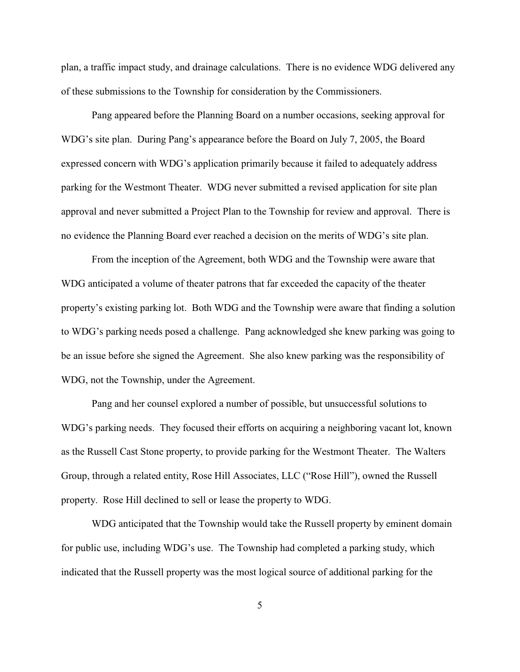plan, a traffic impact study, and drainage calculations. There is no evidence WDG delivered any of these submissions to the Township for consideration by the Commissioners.

Pang appeared before the Planning Board on a number occasions, seeking approval for WDG's site plan. During Pang's appearance before the Board on July 7, 2005, the Board expressed concern with WDG's application primarily because it failed to adequately address parking for the Westmont Theater. WDG never submitted a revised application for site plan approval and never submitted a Project Plan to the Township for review and approval. There is no evidence the Planning Board ever reached a decision on the merits of WDG's site plan.

From the inception of the Agreement, both WDG and the Township were aware that WDG anticipated a volume of theater patrons that far exceeded the capacity of the theater property's existing parking lot. Both WDG and the Township were aware that finding a solution to WDG's parking needs posed a challenge. Pang acknowledged she knew parking was going to be an issue before she signed the Agreement. She also knew parking was the responsibility of WDG, not the Township, under the Agreement.

Pang and her counsel explored a number of possible, but unsuccessful solutions to WDG's parking needs. They focused their efforts on acquiring a neighboring vacant lot, known as the Russell Cast Stone property, to provide parking for the Westmont Theater. The Walters Group, through a related entity, Rose Hill Associates, LLC ("Rose Hill"), owned the Russell property. Rose Hill declined to sell or lease the property to WDG.

WDG anticipated that the Township would take the Russell property by eminent domain for public use, including WDG's use. The Township had completed a parking study, which indicated that the Russell property was the most logical source of additional parking for the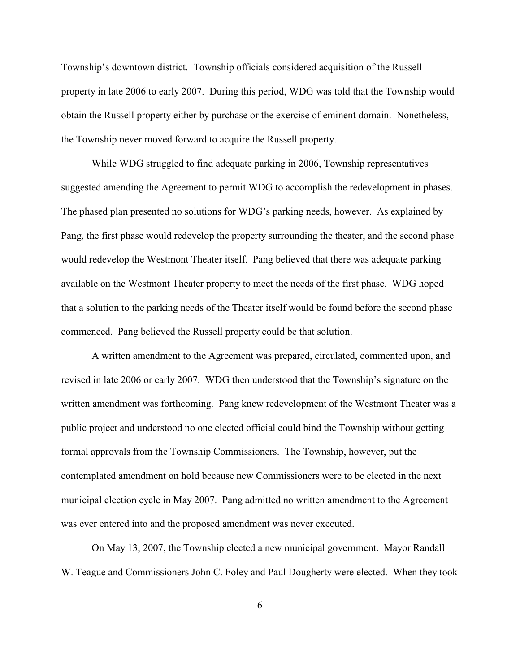Township's downtown district. Township officials considered acquisition of the Russell property in late 2006 to early 2007. During this period, WDG was told that the Township would obtain the Russell property either by purchase or the exercise of eminent domain. Nonetheless, the Township never moved forward to acquire the Russell property.

While WDG struggled to find adequate parking in 2006, Township representatives suggested amending the Agreement to permit WDG to accomplish the redevelopment in phases. The phased plan presented no solutions for WDG's parking needs, however. As explained by Pang, the first phase would redevelop the property surrounding the theater, and the second phase would redevelop the Westmont Theater itself. Pang believed that there was adequate parking available on the Westmont Theater property to meet the needs of the first phase. WDG hoped that a solution to the parking needs of the Theater itself would be found before the second phase commenced. Pang believed the Russell property could be that solution.

A written amendment to the Agreement was prepared, circulated, commented upon, and revised in late 2006 or early 2007. WDG then understood that the Township's signature on the written amendment was forthcoming. Pang knew redevelopment of the Westmont Theater was a public project and understood no one elected official could bind the Township without getting formal approvals from the Township Commissioners. The Township, however, put the contemplated amendment on hold because new Commissioners were to be elected in the next municipal election cycle in May 2007. Pang admitted no written amendment to the Agreement was ever entered into and the proposed amendment was never executed.

On May 13, 2007, the Township elected a new municipal government. Mayor Randall W. Teague and Commissioners John C. Foley and Paul Dougherty were elected. When they took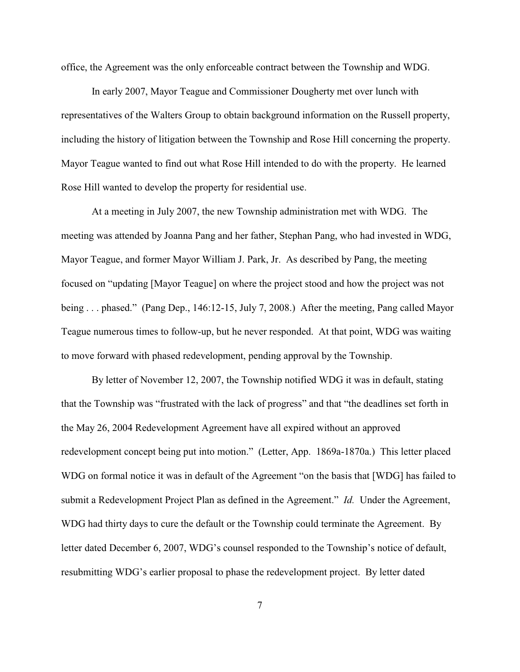office, the Agreement was the only enforceable contract between the Township and WDG.

In early 2007, Mayor Teague and Commissioner Dougherty met over lunch with representatives of the Walters Group to obtain background information on the Russell property, including the history of litigation between the Township and Rose Hill concerning the property. Mayor Teague wanted to find out what Rose Hill intended to do with the property. He learned Rose Hill wanted to develop the property for residential use.

At a meeting in July 2007, the new Township administration met with WDG. The meeting was attended by Joanna Pang and her father, Stephan Pang, who had invested in WDG, Mayor Teague, and former Mayor William J. Park, Jr. As described by Pang, the meeting focused on "updating [Mayor Teague] on where the project stood and how the project was not being . . . phased." (Pang Dep., 146:12-15, July 7, 2008.) After the meeting, Pang called Mayor Teague numerous times to follow-up, but he never responded. At that point, WDG was waiting to move forward with phased redevelopment, pending approval by the Township.

By letter of November 12, 2007, the Township notified WDG it was in default, stating that the Township was "frustrated with the lack of progress" and that "the deadlines set forth in the May 26, 2004 Redevelopment Agreement have all expired without an approved redevelopment concept being put into motion." (Letter, App. 1869a-1870a.) This letter placed WDG on formal notice it was in default of the Agreement "on the basis that [WDG] has failed to submit a Redevelopment Project Plan as defined in the Agreement." *Id.* Under the Agreement, WDG had thirty days to cure the default or the Township could terminate the Agreement. By letter dated December 6, 2007, WDG's counsel responded to the Township's notice of default, resubmitting WDG's earlier proposal to phase the redevelopment project. By letter dated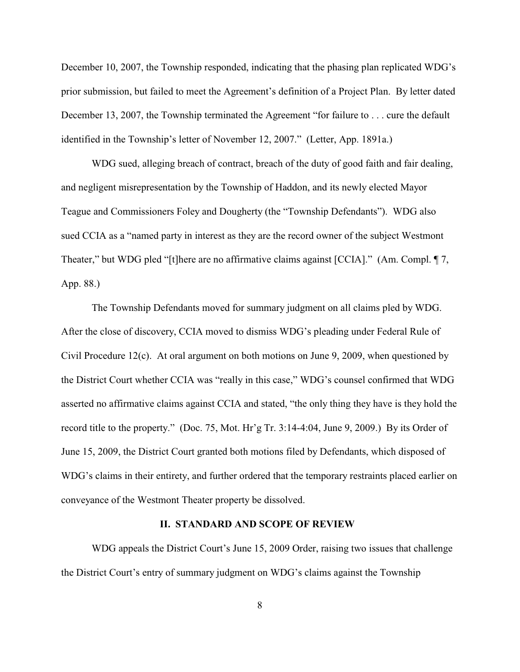December 10, 2007, the Township responded, indicating that the phasing plan replicated WDG's prior submission, but failed to meet the Agreement's definition of a Project Plan. By letter dated December 13, 2007, the Township terminated the Agreement "for failure to . . . cure the default identified in the Township's letter of November 12, 2007." (Letter, App. 1891a.)

WDG sued, alleging breach of contract, breach of the duty of good faith and fair dealing, and negligent misrepresentation by the Township of Haddon, and its newly elected Mayor Teague and Commissioners Foley and Dougherty (the "Township Defendants"). WDG also sued CCIA as a "named party in interest as they are the record owner of the subject Westmont Theater," but WDG pled "[t]here are no affirmative claims against [CCIA]." (Am. Compl. ¶ 7, App. 88.)

The Township Defendants moved for summary judgment on all claims pled by WDG. After the close of discovery, CCIA moved to dismiss WDG's pleading under Federal Rule of Civil Procedure 12(c). At oral argument on both motions on June 9, 2009, when questioned by the District Court whether CCIA was "really in this case," WDG's counsel confirmed that WDG asserted no affirmative claims against CCIA and stated, "the only thing they have is they hold the record title to the property." (Doc. 75, Mot. Hr'g Tr. 3:14-4:04, June 9, 2009.) By its Order of June 15, 2009, the District Court granted both motions filed by Defendants, which disposed of WDG's claims in their entirety, and further ordered that the temporary restraints placed earlier on conveyance of the Westmont Theater property be dissolved.

## **II. STANDARD AND SCOPE OF REVIEW**

WDG appeals the District Court's June 15, 2009 Order, raising two issues that challenge the District Court's entry of summary judgment on WDG's claims against the Township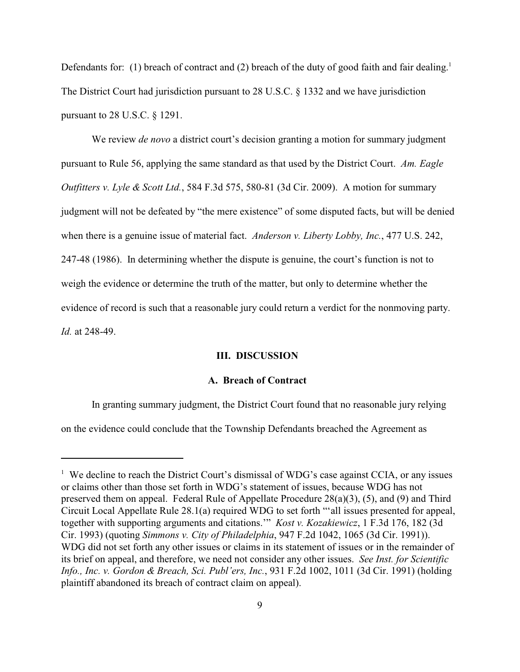Defendants for: (1) breach of contract and (2) breach of the duty of good faith and fair dealing.<sup>1</sup> The District Court had jurisdiction pursuant to 28 U.S.C. § 1332 and we have jurisdiction pursuant to 28 U.S.C. § 1291.

We review *de novo* a district court's decision granting a motion for summary judgment pursuant to Rule 56, applying the same standard as that used by the District Court. *Am. Eagle Outfitters v. Lyle & Scott Ltd.*, 584 F.3d 575, 580-81 (3d Cir. 2009). A motion for summary judgment will not be defeated by "the mere existence" of some disputed facts, but will be denied when there is a genuine issue of material fact. *Anderson v. Liberty Lobby, Inc.*, 477 U.S. 242, 247-48 (1986). In determining whether the dispute is genuine, the court's function is not to weigh the evidence or determine the truth of the matter, but only to determine whether the evidence of record is such that a reasonable jury could return a verdict for the nonmoving party. *Id.* at 248-49.

## **III. DISCUSSION**

### **A. Breach of Contract**

In granting summary judgment, the District Court found that no reasonable jury relying

on the evidence could conclude that the Township Defendants breached the Agreement as

 $1$  We decline to reach the District Court's dismissal of WDG's case against CCIA, or any issues or claims other than those set forth in WDG's statement of issues, because WDG has not preserved them on appeal. Federal Rule of Appellate Procedure 28(a)(3), (5), and (9) and Third Circuit Local Appellate Rule 28.1(a) required WDG to set forth "'all issues presented for appeal, together with supporting arguments and citations.'" *Kost v. Kozakiewicz*, 1 F.3d 176, 182 (3d Cir. 1993) (quoting *Simmons v. City of Philadelphia*, 947 F.2d 1042, 1065 (3d Cir. 1991)). WDG did not set forth any other issues or claims in its statement of issues or in the remainder of its brief on appeal, and therefore, we need not consider any other issues. *See Inst. for Scientific Info., Inc. v. Gordon & Breach, Sci. Publ'ers, Inc.*, 931 F.2d 1002, 1011 (3d Cir. 1991) (holding plaintiff abandoned its breach of contract claim on appeal).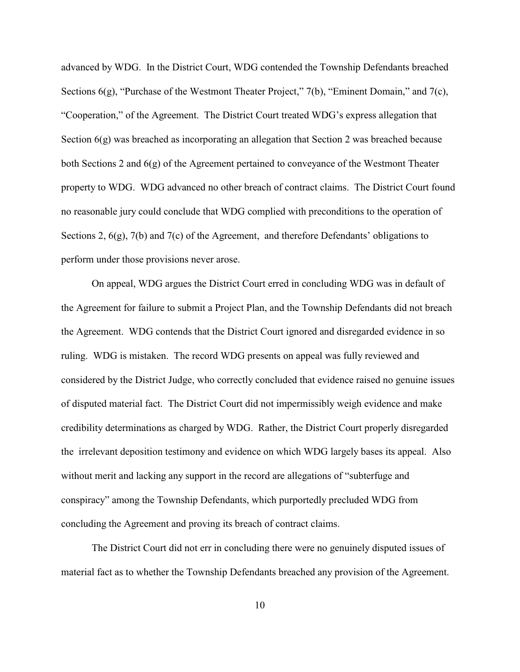advanced by WDG. In the District Court, WDG contended the Township Defendants breached Sections  $6(g)$ , "Purchase of the Westmont Theater Project," 7(b), "Eminent Domain," and 7(c), "Cooperation," of the Agreement. The District Court treated WDG's express allegation that Section 6(g) was breached as incorporating an allegation that Section 2 was breached because both Sections 2 and 6(g) of the Agreement pertained to conveyance of the Westmont Theater property to WDG. WDG advanced no other breach of contract claims. The District Court found no reasonable jury could conclude that WDG complied with preconditions to the operation of Sections 2,  $6(g)$ ,  $7(b)$  and  $7(c)$  of the Agreement, and therefore Defendants' obligations to perform under those provisions never arose.

On appeal, WDG argues the District Court erred in concluding WDG was in default of the Agreement for failure to submit a Project Plan, and the Township Defendants did not breach the Agreement. WDG contends that the District Court ignored and disregarded evidence in so ruling. WDG is mistaken. The record WDG presents on appeal was fully reviewed and considered by the District Judge, who correctly concluded that evidence raised no genuine issues of disputed material fact. The District Court did not impermissibly weigh evidence and make credibility determinations as charged by WDG. Rather, the District Court properly disregarded the irrelevant deposition testimony and evidence on which WDG largely bases its appeal. Also without merit and lacking any support in the record are allegations of "subterfuge and conspiracy" among the Township Defendants, which purportedly precluded WDG from concluding the Agreement and proving its breach of contract claims.

The District Court did not err in concluding there were no genuinely disputed issues of material fact as to whether the Township Defendants breached any provision of the Agreement.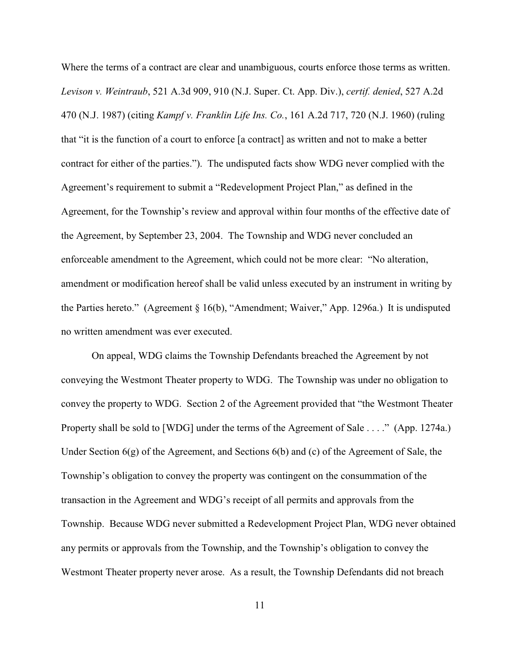Where the terms of a contract are clear and unambiguous, courts enforce those terms as written. *Levison v. Weintraub*, 521 A.3d 909, 910 (N.J. Super. Ct. App. Div.), *certif. denied*, 527 A.2d 470 (N.J. 1987) (citing *Kampf v. Franklin Life Ins. Co.*, 161 A.2d 717, 720 (N.J. 1960) (ruling that "it is the function of a court to enforce [a contract] as written and not to make a better contract for either of the parties."). The undisputed facts show WDG never complied with the Agreement's requirement to submit a "Redevelopment Project Plan," as defined in the Agreement, for the Township's review and approval within four months of the effective date of the Agreement, by September 23, 2004. The Township and WDG never concluded an enforceable amendment to the Agreement, which could not be more clear: "No alteration, amendment or modification hereof shall be valid unless executed by an instrument in writing by the Parties hereto." (Agreement § 16(b), "Amendment; Waiver," App. 1296a.) It is undisputed no written amendment was ever executed.

On appeal, WDG claims the Township Defendants breached the Agreement by not conveying the Westmont Theater property to WDG. The Township was under no obligation to convey the property to WDG. Section 2 of the Agreement provided that "the Westmont Theater Property shall be sold to [WDG] under the terms of the Agreement of Sale . . . ." (App. 1274a.) Under Section 6(g) of the Agreement, and Sections 6(b) and (c) of the Agreement of Sale, the Township's obligation to convey the property was contingent on the consummation of the transaction in the Agreement and WDG's receipt of all permits and approvals from the Township. Because WDG never submitted a Redevelopment Project Plan, WDG never obtained any permits or approvals from the Township, and the Township's obligation to convey the Westmont Theater property never arose. As a result, the Township Defendants did not breach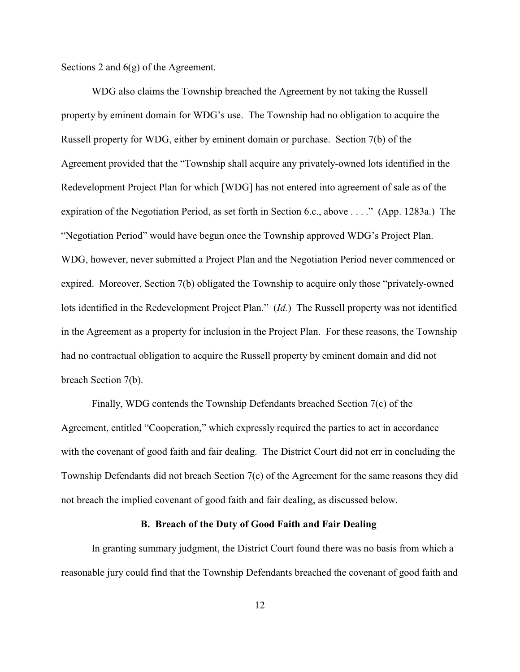Sections 2 and  $6(g)$  of the Agreement.

WDG also claims the Township breached the Agreement by not taking the Russell property by eminent domain for WDG's use. The Township had no obligation to acquire the Russell property for WDG, either by eminent domain or purchase. Section 7(b) of the Agreement provided that the "Township shall acquire any privately-owned lots identified in the Redevelopment Project Plan for which [WDG] has not entered into agreement of sale as of the expiration of the Negotiation Period, as set forth in Section 6.c., above . . . ." (App. 1283a.) The "Negotiation Period" would have begun once the Township approved WDG's Project Plan. WDG, however, never submitted a Project Plan and the Negotiation Period never commenced or expired. Moreover, Section 7(b) obligated the Township to acquire only those "privately-owned lots identified in the Redevelopment Project Plan." (*Id.*) The Russell property was not identified in the Agreement as a property for inclusion in the Project Plan. For these reasons, the Township had no contractual obligation to acquire the Russell property by eminent domain and did not breach Section 7(b).

Finally, WDG contends the Township Defendants breached Section 7(c) of the Agreement, entitled "Cooperation," which expressly required the parties to act in accordance with the covenant of good faith and fair dealing. The District Court did not err in concluding the Township Defendants did not breach Section 7(c) of the Agreement for the same reasons they did not breach the implied covenant of good faith and fair dealing, as discussed below.

## **B. Breach of the Duty of Good Faith and Fair Dealing**

In granting summary judgment, the District Court found there was no basis from which a reasonable jury could find that the Township Defendants breached the covenant of good faith and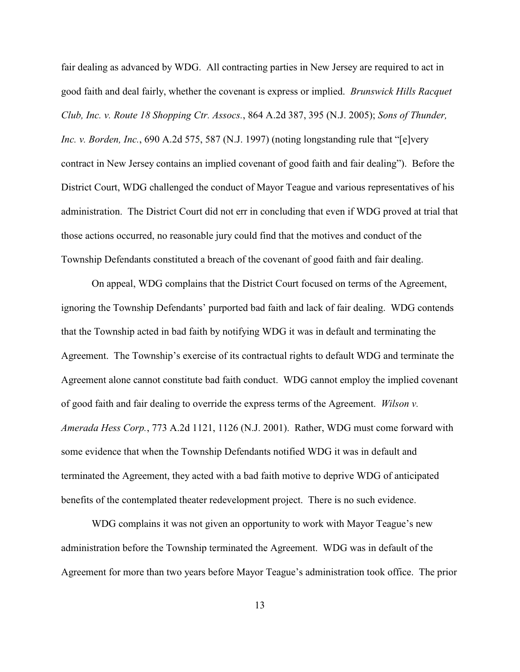fair dealing as advanced by WDG. All contracting parties in New Jersey are required to act in good faith and deal fairly, whether the covenant is express or implied. *Brunswick Hills Racquet Club, Inc. v. Route 18 Shopping Ctr. Assocs.*, 864 A.2d 387, 395 (N.J. 2005); *Sons of Thunder, Inc. v. Borden, Inc.*, 690 A.2d 575, 587 (N.J. 1997) (noting longstanding rule that "[e]very contract in New Jersey contains an implied covenant of good faith and fair dealing"). Before the District Court, WDG challenged the conduct of Mayor Teague and various representatives of his administration. The District Court did not err in concluding that even if WDG proved at trial that those actions occurred, no reasonable jury could find that the motives and conduct of the Township Defendants constituted a breach of the covenant of good faith and fair dealing.

On appeal, WDG complains that the District Court focused on terms of the Agreement, ignoring the Township Defendants' purported bad faith and lack of fair dealing. WDG contends that the Township acted in bad faith by notifying WDG it was in default and terminating the Agreement. The Township's exercise of its contractual rights to default WDG and terminate the Agreement alone cannot constitute bad faith conduct. WDG cannot employ the implied covenant of good faith and fair dealing to override the express terms of the Agreement. *Wilson v. Amerada Hess Corp.*, 773 A.2d 1121, 1126 (N.J. 2001). Rather, WDG must come forward with some evidence that when the Township Defendants notified WDG it was in default and terminated the Agreement, they acted with a bad faith motive to deprive WDG of anticipated benefits of the contemplated theater redevelopment project. There is no such evidence.

WDG complains it was not given an opportunity to work with Mayor Teague's new administration before the Township terminated the Agreement. WDG was in default of the Agreement for more than two years before Mayor Teague's administration took office. The prior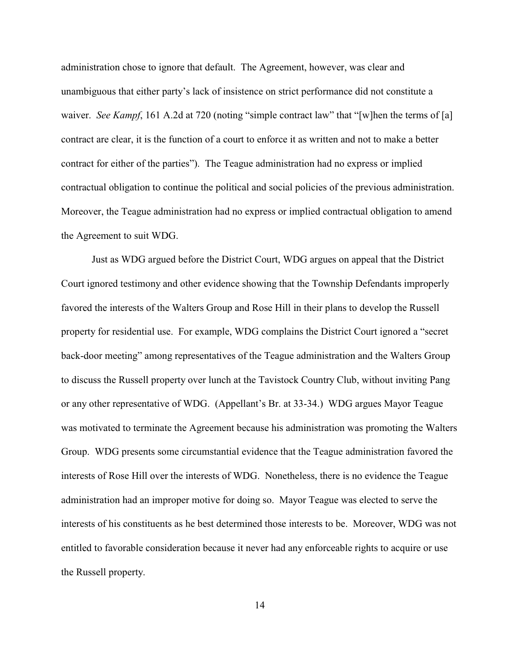administration chose to ignore that default. The Agreement, however, was clear and unambiguous that either party's lack of insistence on strict performance did not constitute a waiver. *See Kampf*, 161 A.2d at 720 (noting "simple contract law" that "[w]hen the terms of [a] contract are clear, it is the function of a court to enforce it as written and not to make a better contract for either of the parties"). The Teague administration had no express or implied contractual obligation to continue the political and social policies of the previous administration. Moreover, the Teague administration had no express or implied contractual obligation to amend the Agreement to suit WDG.

Just as WDG argued before the District Court, WDG argues on appeal that the District Court ignored testimony and other evidence showing that the Township Defendants improperly favored the interests of the Walters Group and Rose Hill in their plans to develop the Russell property for residential use. For example, WDG complains the District Court ignored a "secret back-door meeting" among representatives of the Teague administration and the Walters Group to discuss the Russell property over lunch at the Tavistock Country Club, without inviting Pang or any other representative of WDG. (Appellant's Br. at 33-34.) WDG argues Mayor Teague was motivated to terminate the Agreement because his administration was promoting the Walters Group. WDG presents some circumstantial evidence that the Teague administration favored the interests of Rose Hill over the interests of WDG. Nonetheless, there is no evidence the Teague administration had an improper motive for doing so. Mayor Teague was elected to serve the interests of his constituents as he best determined those interests to be. Moreover, WDG was not entitled to favorable consideration because it never had any enforceable rights to acquire or use the Russell property.